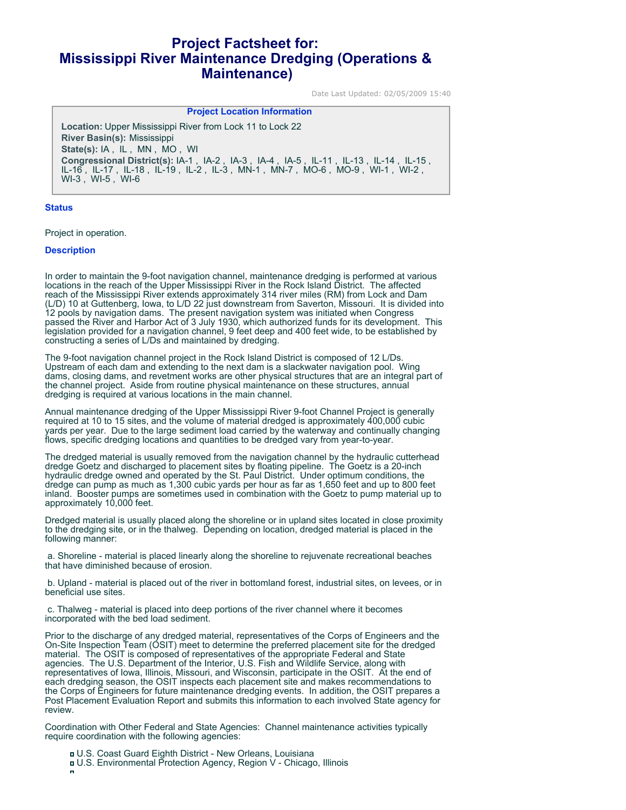# **Project Factsheet for: Mississippi River Maintenance Dredging (Operations & Maintenance)**

Date Last Updated: 02/05/2009 15:40

#### **Project Location Information**

**Location:** Upper Mississippi River from Lock 11 to Lock 22 **River Basin(s):** Mississippi **State(s):** IA , IL , MN , MO , WI **Congressional District(s):** IA-1 , IA-2 , IA-3 , IA-4 , IA-5 , IL-11 , IL-13 , IL-14 , IL-15 , IL-16 , IL-17 , IL-18 , IL-19 , IL-2 , IL-3 , MN-1 , MN-7 , MO-6 , MO-9 , WI-1 , WI-2 , WI-3 , WI-5 , WI-6

### **Status**

Project in operation.

#### **Description**

In order to maintain the 9-foot navigation channel, maintenance dredging is performed at various locations in the reach of the Upper Mississippi River in the Rock Island District. The affected reach of the Mississippi River extends approximately 314 river miles (RM) from Lock and Dam (L/D) 10 at Guttenberg, Iowa, to L/D 22 just downstream from Saverton, Missouri. It is divided into 12 pools by navigation dams. The present navigation system was initiated when Congress passed the River and Harbor Act of 3 July 1930, which authorized funds for its development. This legislation provided for a navigation channel, 9 feet deep and 400 feet wide, to be established by constructing a series of L/Ds and maintained by dredging.

The 9-foot navigation channel project in the Rock Island District is composed of 12 L/Ds. Upstream of each dam and extending to the next dam is a slackwater navigation pool. Wing dams, closing dams, and revetment works are other physical structures that are an integral part of the channel project. Aside from routine physical maintenance on these structures, annual dredging is required at various locations in the main channel.

Annual maintenance dredging of the Upper Mississippi River 9-foot Channel Project is generally required at 10 to 15 sites, and the volume of material dredged is approximately 400,000 cubic yards per year. Due to the large sediment load carried by the waterway and continually changing flows, specific dredging locations and quantities to be dredged vary from year-to-year.

The dredged material is usually removed from the navigation channel by the hydraulic cutterhead dredge Goetz and discharged to placement sites by floating pipeline. The Goetz is a 20-inch hydraulic dredge owned and operated by the St. Paul District. Under optimum conditions, the dredge can pump as much as 1,300 cubic yards per hour as far as 1,650 feet and up to 800 feet inland. Booster pumps are sometimes used in combination with the Goetz to pump material up to approximately 10,000 feet.

Dredged material is usually placed along the shoreline or in upland sites located in close proximity to the dredging site, or in the thalweg. Depending on location, dredged material is placed in the following manner:

 a. Shoreline - material is placed linearly along the shoreline to rejuvenate recreational beaches that have diminished because of erosion.

 b. Upland - material is placed out of the river in bottomland forest, industrial sites, on levees, or in beneficial use sites.

 c. Thalweg - material is placed into deep portions of the river channel where it becomes incorporated with the bed load sediment.

Prior to the discharge of any dredged material, representatives of the Corps of Engineers and the On-Site Inspection Team (OSIT) meet to determine the preferred placement site for the dredged material. The OSIT is composed of representatives of the appropriate Federal and State agencies. The U.S. Department of the Interior, U.S. Fish and Wildlife Service, along with representatives of Iowa, Illinois, Missouri, and Wisconsin, participate in the OSIT. At the end of each dredging season, the OSIT inspects each placement site and makes recommendations to the Corps of Engineers for future maintenance dredging events. In addition, the OSIT prepares a Post Placement Evaluation Report and submits this information to each involved State agency for review.

Coordination with Other Federal and State Agencies: Channel maintenance activities typically require coordination with the following agencies:

U.S. Coast Guard Eighth District - New Orleans, Louisiana U.S. Environmental Protection Agency, Region V - Chicago, Illinois